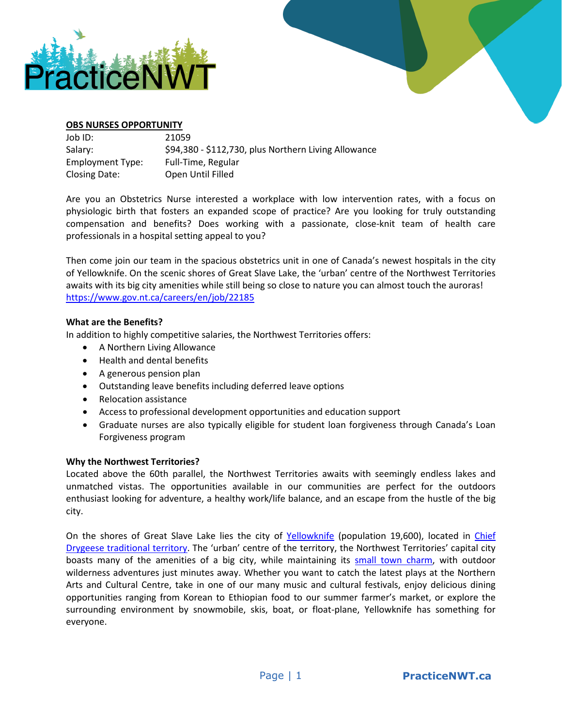



## **OBS NURSES OPPORTUNITY**

| Job ID:          | 21059                                                |
|------------------|------------------------------------------------------|
| Salary:          | \$94,380 - \$112,730, plus Northern Living Allowance |
| Employment Type: | Full-Time, Regular                                   |
| Closing Date:    | Open Until Filled                                    |

Are you an Obstetrics Nurse interested a workplace with low intervention rates, with a focus on physiologic birth that fosters an expanded scope of practice? Are you looking for truly outstanding compensation and benefits? Does working with a passionate, close-knit team of health care professionals in a hospital setting appeal to you?

Then come join our team in the spacious obstetrics unit in one of Canada's newest hospitals in the city of Yellowknife. On the scenic shores of Great Slave Lake, the 'urban' centre of the Northwest Territories awaits with its big city amenities while still being so close to nature you can almost touch the auroras! <https://www.gov.nt.ca/careers/en/job/22185>

## **What are the Benefits?**

In addition to highly competitive salaries, the Northwest Territories offers:

- A Northern Living Allowance
- Health and dental benefits
- A generous pension plan
- Outstanding leave benefits including deferred leave options
- Relocation assistance
- Access to professional development opportunities and education support
- Graduate nurses are also typically eligible for student loan forgiveness through Canada's Loan Forgiveness program

## **Why the Northwest Territories?**

Located above the 60th parallel, the Northwest Territories awaits with seemingly endless lakes and unmatched vistas. The opportunities available in our communities are perfect for the outdoors enthusiast looking for adventure, a healthy work/life balance, and an escape from the hustle of the big city.

On the shores of Great Slave Lake lies the city of [Yellowknife](https://ykonline.ca/) (population 19,600), located in [Chief](https://ykdene.com/about/our-land/)  [Drygeese traditional territory.](https://ykdene.com/about/our-land/) The 'urban' centre of the territory, the Northwest Territories' capital city boasts many of the amenities of a big city, while maintaining its [small town charm,](https://spectacularnwt.com/story/walk-wild-side-tour-old-town-canadas-weirdest-neighbourhood) with outdoor wilderness adventures just minutes away. Whether you want to catch the latest plays at the Northern Arts and Cultural Centre, take in one of our many music and cultural festivals, enjoy delicious dining opportunities ranging from Korean to Ethiopian food to our summer farmer's market, or explore the surrounding environment by snowmobile, skis, boat, or float-plane, Yellowknife has something for everyone.